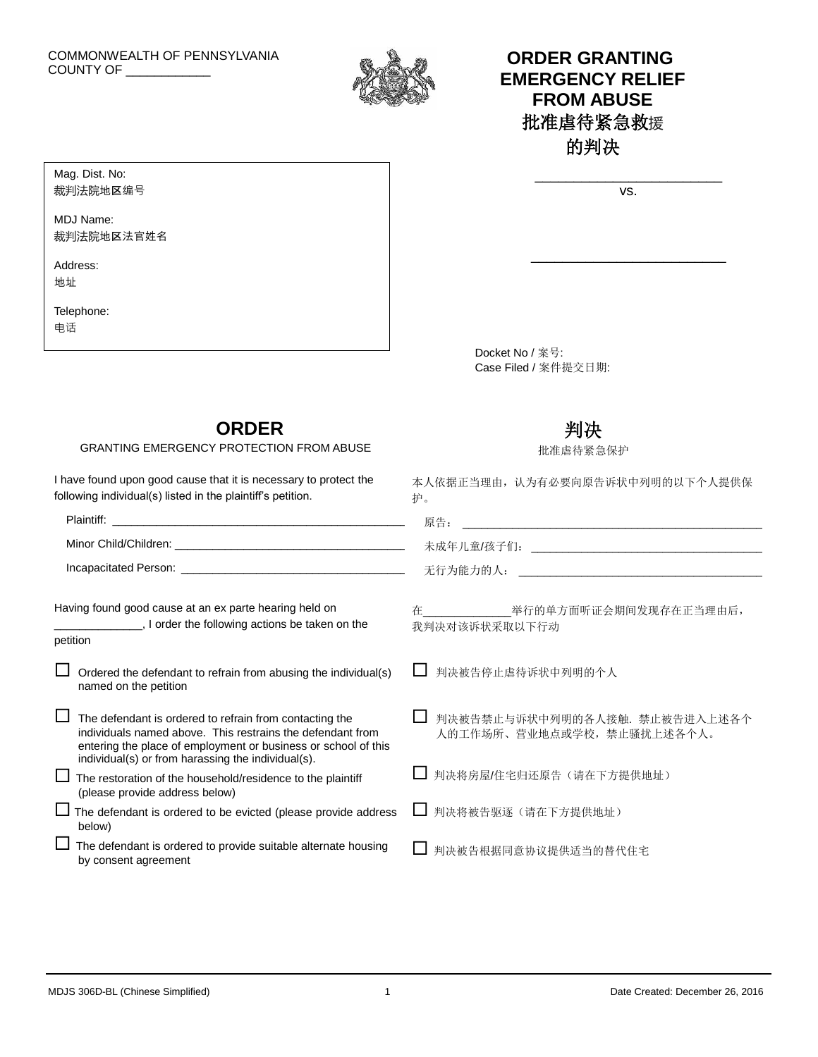

# **ORDER GRANTING EMERGENCY RELIEF FROM ABUSE** 批准虐待紧急救援 的判决

| 1/C |  |
|-----|--|

\_\_\_\_\_\_\_\_\_\_\_\_\_\_\_\_\_\_\_\_\_\_\_\_\_

Mag. Dist. No: 裁判法院地区编号

MDJ Name: 裁判法院地区法官姓名

Address: 地址

Telephone: 电话

petition

below)

Docket No / 案号: Case Filed / 案件提交日期:

# **ORDER**

GRANTING EMERGENCY PROTECTION FROM ABUSE

**wave the following actions be taken on the** 

 $\Box$  Ordered the defendant to refrain from abusing the individual(s)

individuals named above. This restrains the defendant from entering the place of employment or business or school of this

 $\Box$  The defendant is ordered to be evicted (please provide address

 $\Box$  The defendant is ordered to provide suitable alternate housing

 $\Box$  The defendant is ordered to refrain from contacting the

individual(s) or from harassing the individual(s).  $\Box$  The restoration of the household/residence to the plaintiff

(please provide address below)

I have found upon good cause that it is necessary to protect the following individual(s) listed in the plaintiff's petition.

Having found good cause at an ex parte hearing held on

# 判决

批准虐待紧急保护

本人依据正当理由,认为有必要向原告诉状中列明的以下个人提供保 护。

| Plaintiff:            | 百石<br>) ホロ |
|-----------------------|------------|
| Minor Child/Children: | 未成年儿童/孩子们: |
| Incapacitated Person: | 无行为能力的人:   |

在\_\_\_\_\_\_\_\_\_\_\_\_\_\_举行的单方面听证会期间发现存在正当理由后, 我判决对该诉状采取以下行动

□ 判决被告停止虐待诉状中列明的个人

|  |                           | □ 判决被告禁止与诉状中列明的各人接触. 禁止被告进入上述各个 |  |
|--|---------------------------|---------------------------------|--|
|  | 人的工作场所、营业地点或学校,禁止骚扰上述各个人。 |                                 |  |

- □ 判决将房屋/住宅归还原告(请在下方提供地址)
- □ 判决将被告驱逐(请在下方提供地址)
- □ 判决被告根据同意协议提供适当的替代住宅

by consent agreement

named on the petition